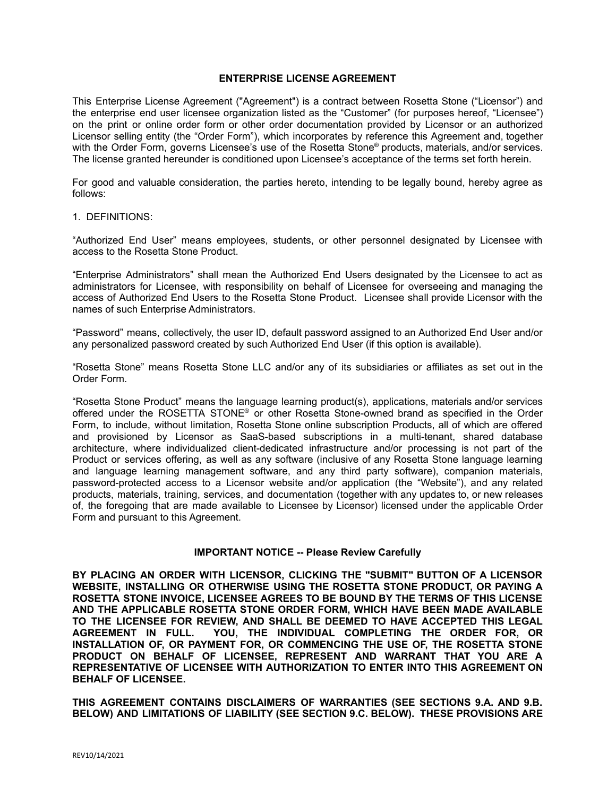# **ENTERPRISE LICENSE AGREEMENT**

This Enterprise License Agreement ("Agreement") is a contract between Rosetta Stone ("Licensor") and the enterprise end user licensee organization listed as the "Customer" (for purposes hereof, "Licensee") on the print or online order form or other order documentation provided by Licensor or an authorized Licensor selling entity (the "Order Form"), which incorporates by reference this Agreement and, together with the Order Form, governs Licensee's use of the Rosetta Stone® products, materials, and/or services. The license granted hereunder is conditioned upon Licensee's acceptance of the terms set forth herein.

For good and valuable consideration, the parties hereto, intending to be legally bound, hereby agree as follows:

#### 1. DEFINITIONS:

"Authorized End User" means employees, students, or other personnel designated by Licensee with access to the Rosetta Stone Product.

"Enterprise Administrators" shall mean the Authorized End Users designated by the Licensee to act as administrators for Licensee, with responsibility on behalf of Licensee for overseeing and managing the access of Authorized End Users to the Rosetta Stone Product. Licensee shall provide Licensor with the names of such Enterprise Administrators.

"Password" means, collectively, the user ID, default password assigned to an Authorized End User and/or any personalized password created by such Authorized End User (if this option is available).

"Rosetta Stone" means Rosetta Stone LLC and/or any of its subsidiaries or affiliates as set out in the Order Form.

"Rosetta Stone Product" means the language learning product(s), applications, materials and/or services offered under the ROSETTA STONE® or other Rosetta Stone-owned brand as specified in the Order Form, to include, without limitation, Rosetta Stone online subscription Products, all of which are offered and provisioned by Licensor as SaaS-based subscriptions in a multi-tenant, shared database architecture, where individualized client-dedicated infrastructure and/or processing is not part of the Product or services offering, as well as any software (inclusive of any Rosetta Stone language learning and language learning management software, and any third party software), companion materials, password-protected access to a Licensor website and/or application (the "Website"), and any related products, materials, training, services, and documentation (together with any updates to, or new releases of, the foregoing that are made available to Licensee by Licensor) licensed under the applicable Order Form and pursuant to this Agreement.

# **IMPORTANT NOTICE -- Please Review Carefully**

**BY PLACING AN ORDER WITH LICENSOR, CLICKING THE "SUBMIT" BUTTON OF A LICENSOR WEBSITE, INSTALLING OR OTHERWISE USING THE ROSETTA STONE PRODUCT, OR PAYING A ROSETTA STONE INVOICE, LICENSEE AGREES TO BE BOUND BY THE TERMS OF THIS LICENSE AND THE APPLICABLE ROSETTA STONE ORDER FORM, WHICH HAVE BEEN MADE AVAILABLE TO THE LICENSEE FOR REVIEW, AND SHALL BE DEEMED TO HAVE ACCEPTED THIS LEGAL AGREEMENT IN FULL. YOU, THE INDIVIDUAL COMPLETING THE ORDER FOR, OR INSTALLATION OF, OR PAYMENT FOR, OR COMMENCING THE USE OF, THE ROSETTA STONE PRODUCT ON BEHALF OF LICENSEE, REPRESENT AND WARRANT THAT YOU ARE A REPRESENTATIVE OF LICENSEE WITH AUTHORIZATION TO ENTER INTO THIS AGREEMENT ON BEHALF OF LICENSEE.**

**THIS AGREEMENT CONTAINS DISCLAIMERS OF WARRANTIES (SEE SECTIONS 9.A. AND 9.B. BELOW) AND LIMITATIONS OF LIABILITY (SEE SECTION 9.C. BELOW). THESE PROVISIONS ARE**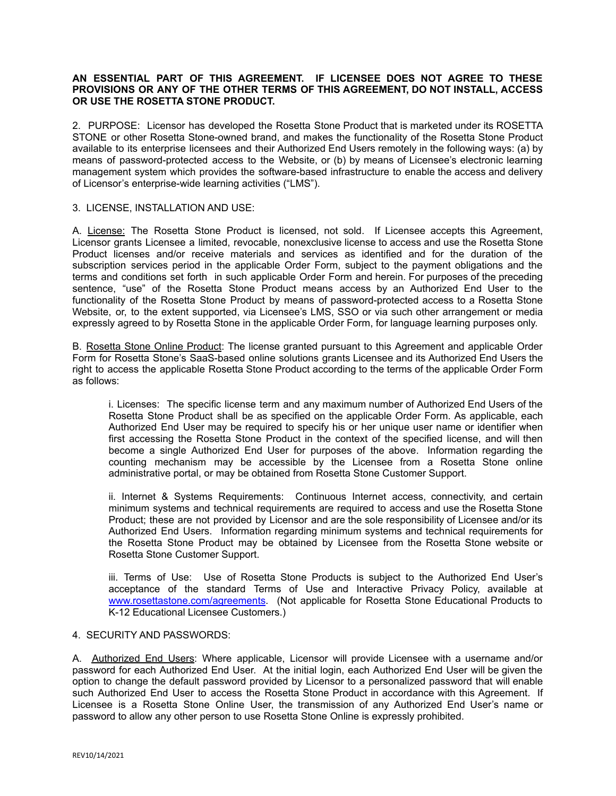# **AN ESSENTIAL PART OF THIS AGREEMENT. IF LICENSEE DOES NOT AGREE TO THESE PROVISIONS OR ANY OF THE OTHER TERMS OF THIS AGREEMENT, DO NOT INSTALL, ACCESS OR USE THE ROSETTA STONE PRODUCT.**

2. PURPOSE: Licensor has developed the Rosetta Stone Product that is marketed under its ROSETTA STONE or other Rosetta Stone-owned brand, and makes the functionality of the Rosetta Stone Product available to its enterprise licensees and their Authorized End Users remotely in the following ways: (a) by means of password-protected access to the Website, or (b) by means of Licensee's electronic learning management system which provides the software-based infrastructure to enable the access and delivery of Licensor's enterprise-wide learning activities ("LMS").

# 3. LICENSE, INSTALLATION AND USE:

A. License: The Rosetta Stone Product is licensed, not sold. If Licensee accepts this Agreement, Licensor grants Licensee a limited, revocable, nonexclusive license to access and use the Rosetta Stone Product licenses and/or receive materials and services as identified and for the duration of the subscription services period in the applicable Order Form, subject to the payment obligations and the terms and conditions set forth in such applicable Order Form and herein. For purposes of the preceding sentence, "use" of the Rosetta Stone Product means access by an Authorized End User to the functionality of the Rosetta Stone Product by means of password-protected access to a Rosetta Stone Website, or, to the extent supported, via Licensee's LMS, SSO or via such other arrangement or media expressly agreed to by Rosetta Stone in the applicable Order Form, for language learning purposes only.

B. Rosetta Stone Online Product: The license granted pursuant to this Agreement and applicable Order Form for Rosetta Stone's SaaS-based online solutions grants Licensee and its Authorized End Users the right to access the applicable Rosetta Stone Product according to the terms of the applicable Order Form as follows:

i. Licenses: The specific license term and any maximum number of Authorized End Users of the Rosetta Stone Product shall be as specified on the applicable Order Form. As applicable, each Authorized End User may be required to specify his or her unique user name or identifier when first accessing the Rosetta Stone Product in the context of the specified license, and will then become a single Authorized End User for purposes of the above. Information regarding the counting mechanism may be accessible by the Licensee from a Rosetta Stone online administrative portal, or may be obtained from Rosetta Stone Customer Support.

ii. Internet & Systems Requirements: Continuous Internet access, connectivity, and certain minimum systems and technical requirements are required to access and use the Rosetta Stone Product; these are not provided by Licensor and are the sole responsibility of Licensee and/or its Authorized End Users. Information regarding minimum systems and technical requirements for the Rosetta Stone Product may be obtained by Licensee from the Rosetta Stone website or Rosetta Stone Customer Support.

iii. Terms of Use: Use of Rosetta Stone Products is subject to the Authorized End User's acceptance of the standard Terms of Use and Interactive Privacy Policy, available at [www.rosettastone.com/agreements](http://www.rosettastone.com/agreements). (Not applicable for Rosetta Stone Educational Products to K-12 Educational Licensee Customers.)

# 4. SECURITY AND PASSWORDS:

A. Authorized End Users: Where applicable, Licensor will provide Licensee with a username and/or password for each Authorized End User. At the initial login, each Authorized End User will be given the option to change the default password provided by Licensor to a personalized password that will enable such Authorized End User to access the Rosetta Stone Product in accordance with this Agreement. If Licensee is a Rosetta Stone Online User, the transmission of any Authorized End User's name or password to allow any other person to use Rosetta Stone Online is expressly prohibited.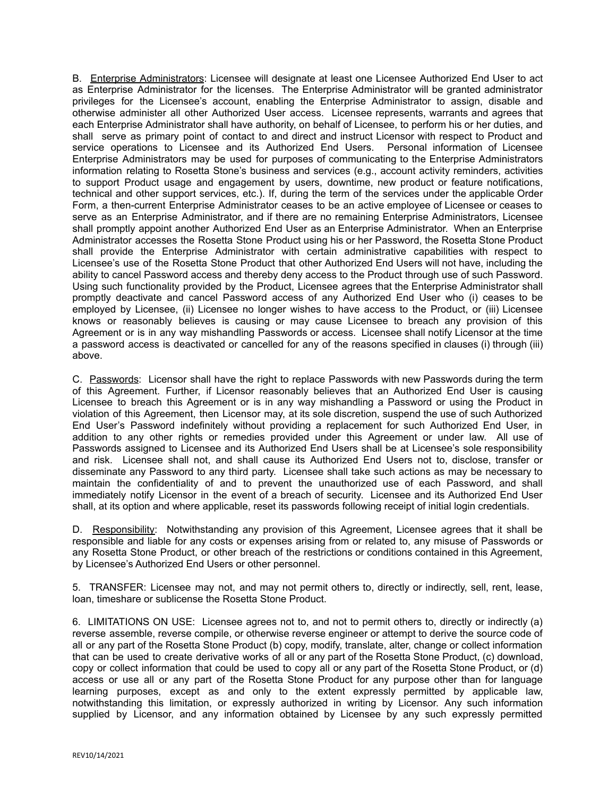B. Enterprise Administrators: Licensee will designate at least one Licensee Authorized End User to act as Enterprise Administrator for the licenses. The Enterprise Administrator will be granted administrator privileges for the Licensee's account, enabling the Enterprise Administrator to assign, disable and otherwise administer all other Authorized User access. Licensee represents, warrants and agrees that each Enterprise Administrator shall have authority, on behalf of Licensee, to perform his or her duties, and shall serve as primary point of contact to and direct and instruct Licensor with respect to Product and service operations to Licensee and its Authorized End Users. Personal information of Licensee Enterprise Administrators may be used for purposes of communicating to the Enterprise Administrators information relating to Rosetta Stone's business and services (e.g., account activity reminders, activities to support Product usage and engagement by users, downtime, new product or feature notifications, technical and other support services, etc.). If, during the term of the services under the applicable Order Form, a then-current Enterprise Administrator ceases to be an active employee of Licensee or ceases to serve as an Enterprise Administrator, and if there are no remaining Enterprise Administrators, Licensee shall promptly appoint another Authorized End User as an Enterprise Administrator. When an Enterprise Administrator accesses the Rosetta Stone Product using his or her Password, the Rosetta Stone Product shall provide the Enterprise Administrator with certain administrative capabilities with respect to Licensee's use of the Rosetta Stone Product that other Authorized End Users will not have, including the ability to cancel Password access and thereby deny access to the Product through use of such Password. Using such functionality provided by the Product, Licensee agrees that the Enterprise Administrator shall promptly deactivate and cancel Password access of any Authorized End User who (i) ceases to be employed by Licensee, (ii) Licensee no longer wishes to have access to the Product, or (iii) Licensee knows or reasonably believes is causing or may cause Licensee to breach any provision of this Agreement or is in any way mishandling Passwords or access. Licensee shall notify Licensor at the time a password access is deactivated or cancelled for any of the reasons specified in clauses (i) through (iii) above.

C. Passwords: Licensor shall have the right to replace Passwords with new Passwords during the term of this Agreement. Further, if Licensor reasonably believes that an Authorized End User is causing Licensee to breach this Agreement or is in any way mishandling a Password or using the Product in violation of this Agreement, then Licensor may, at its sole discretion, suspend the use of such Authorized End User's Password indefinitely without providing a replacement for such Authorized End User, in addition to any other rights or remedies provided under this Agreement or under law. All use of Passwords assigned to Licensee and its Authorized End Users shall be at Licensee's sole responsibility and risk. Licensee shall not, and shall cause its Authorized End Users not to, disclose, transfer or disseminate any Password to any third party. Licensee shall take such actions as may be necessary to maintain the confidentiality of and to prevent the unauthorized use of each Password, and shall immediately notify Licensor in the event of a breach of security. Licensee and its Authorized End User shall, at its option and where applicable, reset its passwords following receipt of initial login credentials.

D. Responsibility: Notwithstanding any provision of this Agreement, Licensee agrees that it shall be responsible and liable for any costs or expenses arising from or related to, any misuse of Passwords or any Rosetta Stone Product, or other breach of the restrictions or conditions contained in this Agreement, by Licensee's Authorized End Users or other personnel.

5. TRANSFER: Licensee may not, and may not permit others to, directly or indirectly, sell, rent, lease, loan, timeshare or sublicense the Rosetta Stone Product.

6. LIMITATIONS ON USE: Licensee agrees not to, and not to permit others to, directly or indirectly (a) reverse assemble, reverse compile, or otherwise reverse engineer or attempt to derive the source code of all or any part of the Rosetta Stone Product (b) copy, modify, translate, alter, change or collect information that can be used to create derivative works of all or any part of the Rosetta Stone Product, (c) download, copy or collect information that could be used to copy all or any part of the Rosetta Stone Product, or (d) access or use all or any part of the Rosetta Stone Product for any purpose other than for language learning purposes, except as and only to the extent expressly permitted by applicable law, notwithstanding this limitation, or expressly authorized in writing by Licensor. Any such information supplied by Licensor, and any information obtained by Licensee by any such expressly permitted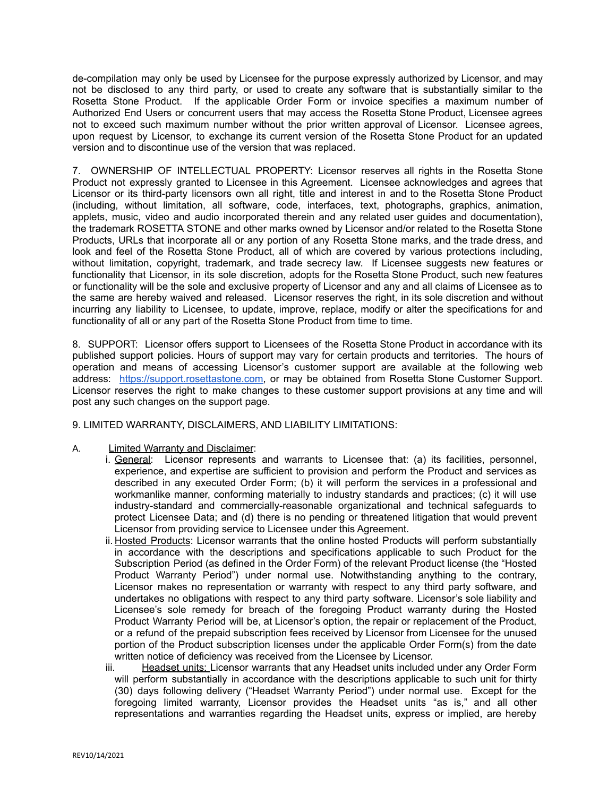de-compilation may only be used by Licensee for the purpose expressly authorized by Licensor, and may not be disclosed to any third party, or used to create any software that is substantially similar to the Rosetta Stone Product. If the applicable Order Form or invoice specifies a maximum number of Authorized End Users or concurrent users that may access the Rosetta Stone Product, Licensee agrees not to exceed such maximum number without the prior written approval of Licensor. Licensee agrees, upon request by Licensor, to exchange its current version of the Rosetta Stone Product for an updated version and to discontinue use of the version that was replaced.

7. OWNERSHIP OF INTELLECTUAL PROPERTY: Licensor reserves all rights in the Rosetta Stone Product not expressly granted to Licensee in this Agreement. Licensee acknowledges and agrees that Licensor or its third-party licensors own all right, title and interest in and to the Rosetta Stone Product (including, without limitation, all software, code, interfaces, text, photographs, graphics, animation, applets, music, video and audio incorporated therein and any related user guides and documentation), the trademark ROSETTA STONE and other marks owned by Licensor and/or related to the Rosetta Stone Products, URLs that incorporate all or any portion of any Rosetta Stone marks, and the trade dress, and look and feel of the Rosetta Stone Product, all of which are covered by various protections including, without limitation, copyright, trademark, and trade secrecy law. If Licensee suggests new features or functionality that Licensor, in its sole discretion, adopts for the Rosetta Stone Product, such new features or functionality will be the sole and exclusive property of Licensor and any and all claims of Licensee as to the same are hereby waived and released. Licensor reserves the right, in its sole discretion and without incurring any liability to Licensee, to update, improve, replace, modify or alter the specifications for and functionality of all or any part of the Rosetta Stone Product from time to time.

8. SUPPORT: Licensor offers support to Licensees of the Rosetta Stone Product in accordance with its published support policies. Hours of support may vary for certain products and territories. The hours of operation and means of accessing Licensor's customer support are available at the following web address: [https://support.rosettastone.com,](https://support.rosettastone.com) or may be obtained from Rosetta Stone Customer Support. Licensor reserves the right to make changes to these customer support provisions at any time and will post any such changes on the support page.

9. LIMITED WARRANTY, DISCLAIMERS, AND LIABILITY LIMITATIONS:

- A. Limited Warranty and Disclaimer:
	- i. General: Licensor represents and warrants to Licensee that: (a) its facilities, personnel, experience, and expertise are sufficient to provision and perform the Product and services as described in any executed Order Form; (b) it will perform the services in a professional and workmanlike manner, conforming materially to industry standards and practices; (c) it will use industry-standard and commercially-reasonable organizational and technical safeguards to protect Licensee Data; and (d) there is no pending or threatened litigation that would prevent Licensor from providing service to Licensee under this Agreement.
	- ii. Hosted Products: Licensor warrants that the online hosted Products will perform substantially in accordance with the descriptions and specifications applicable to such Product for the Subscription Period (as defined in the Order Form) of the relevant Product license (the "Hosted Product Warranty Period") under normal use. Notwithstanding anything to the contrary, Licensor makes no representation or warranty with respect to any third party software, and undertakes no obligations with respect to any third party software. Licensor's sole liability and Licensee's sole remedy for breach of the foregoing Product warranty during the Hosted Product Warranty Period will be, at Licensor's option, the repair or replacement of the Product, or a refund of the prepaid subscription fees received by Licensor from Licensee for the unused portion of the Product subscription licenses under the applicable Order Form(s) from the date written notice of deficiency was received from the Licensee by Licensor.
	- iii. Headset units: Licensor warrants that any Headset units included under any Order Form will perform substantially in accordance with the descriptions applicable to such unit for thirty (30) days following delivery ("Headset Warranty Period") under normal use. Except for the foregoing limited warranty, Licensor provides the Headset units "as is," and all other representations and warranties regarding the Headset units, express or implied, are hereby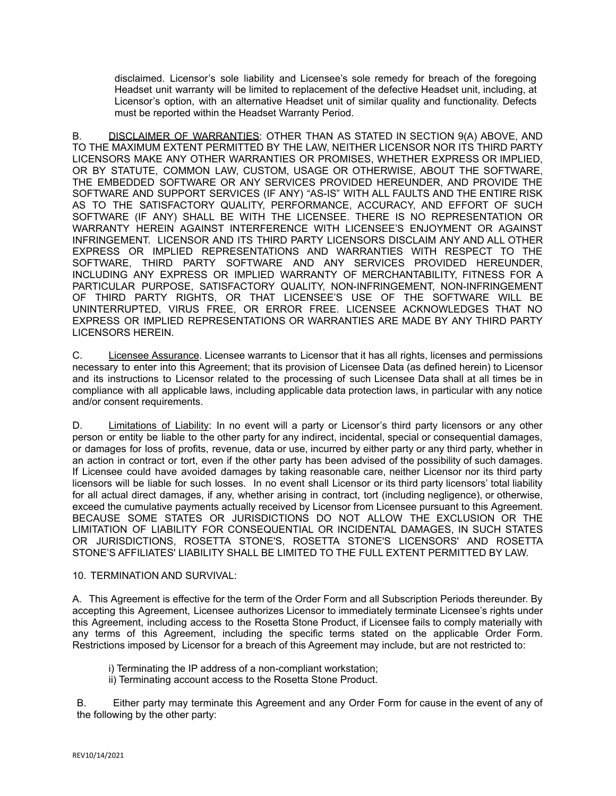disclaimed. Licensor's sole liability and Licensee's sole remedy for breach of the foregoing Headset unit warranty will be limited to replacement of the defective Headset unit, including, at Licensor's option, with an alternative Headset unit of similar quality and functionality. Defects must be reported within the Headset Warranty Period.

B. DISCLAIMER OF WARRANTIES: OTHER THAN AS STATED IN SECTION 9(A) ABOVE, AND TO THE MAXIMUM EXTENT PERMITTED BY THE LAW, NEITHER LICENSOR NOR ITS THIRD PARTY LICENSORS MAKE ANY OTHER WARRANTIES OR PROMISES, WHETHER EXPRESS OR IMPLIED, OR BY STATUTE, COMMON LAW, CUSTOM, USAGE OR OTHERWISE, ABOUT THE SOFTWARE, THE EMBEDDED SOFTWARE OR ANY SERVICES PROVIDED HEREUNDER, AND PROVIDE THE SOFTWARE AND SUPPORT SERVICES (IF ANY) "AS-IS" WITH ALL FAULTS AND THE ENTIRE RISK AS TO THE SATISFACTORY QUALITY, PERFORMANCE, ACCURACY, AND EFFORT OF SUCH SOFTWARE (IF ANY) SHALL BE WITH THE LICENSEE. THERE IS NO REPRESENTATION OR WARRANTY HEREIN AGAINST INTERFERENCE WITH LICENSEE'S ENJOYMENT OR AGAINST INFRINGEMENT. LICENSOR AND ITS THIRD PARTY LICENSORS DISCLAIM ANY AND ALL OTHER EXPRESS OR IMPLIED REPRESENTATIONS AND WARRANTIES WITH RESPECT TO THE SOFTWARE, THIRD PARTY SOFTWARE AND ANY SERVICES PROVIDED HEREUNDER, INCLUDING ANY EXPRESS OR IMPLIED WARRANTY OF MERCHANTABILITY, FITNESS FOR A PARTICULAR PURPOSE, SATISFACTORY QUALITY, NON-INFRINGEMENT, NON-INFRINGEMENT OF THIRD PARTY RIGHTS, OR THAT LICENSEE'S USE OF THE SOFTWARE WILL BE UNINTERRUPTED, VIRUS FREE, OR ERROR FREE. LICENSEE ACKNOWLEDGES THAT NO EXPRESS OR IMPLIED REPRESENTATIONS OR WARRANTIES ARE MADE BY ANY THIRD PARTY LICENSORS HEREIN.

C. Licensee Assurance. Licensee warrants to Licensor that it has all rights, licenses and permissions necessary to enter into this Agreement; that its provision of Licensee Data (as defined herein) to Licensor and its instructions to Licensor related to the processing of such Licensee Data shall at all times be in compliance with all applicable laws, including applicable data protection laws, in particular with any notice and/or consent requirements.

D. Limitations of Liability: In no event will a party or Licensor's third party licensors or any other person or entity be liable to the other party for any indirect, incidental, special or consequential damages, or damages for loss of profits, revenue, data or use, incurred by either party or any third party, whether in an action in contract or tort, even if the other party has been advised of the possibility of such damages. If Licensee could have avoided damages by taking reasonable care, neither Licensor nor its third party licensors will be liable for such losses. In no event shall Licensor or its third party licensors' total liability for all actual direct damages, if any, whether arising in contract, tort (including negligence), or otherwise, exceed the cumulative payments actually received by Licensor from Licensee pursuant to this Agreement. BECAUSE SOME STATES OR JURISDICTIONS DO NOT ALLOW THE EXCLUSION OR THE LIMITATION OF LIABILITY FOR CONSEQUENTIAL OR INCIDENTAL DAMAGES, IN SUCH STATES OR JURISDICTIONS, ROSETTA STONE'S, ROSETTA STONE'S LICENSORS' AND ROSETTA STONE'S AFFILIATES' LIABILITY SHALL BE LIMITED TO THE FULL EXTENT PERMITTED BY LAW.

# 10. TERMINATION AND SURVIVAL:

A. This Agreement is effective for the term of the Order Form and all Subscription Periods thereunder. By accepting this Agreement, Licensee authorizes Licensor to immediately terminate Licensee's rights under this Agreement, including access to the Rosetta Stone Product, if Licensee fails to comply materially with any terms of this Agreement, including the specific terms stated on the applicable Order Form. Restrictions imposed by Licensor for a breach of this Agreement may include, but are not restricted to:

- i) Terminating the IP address of a non-compliant workstation;
- ii) Terminating account access to the Rosetta Stone Product.

B. Either party may terminate this Agreement and any Order Form for cause in the event of any of the following by the other party: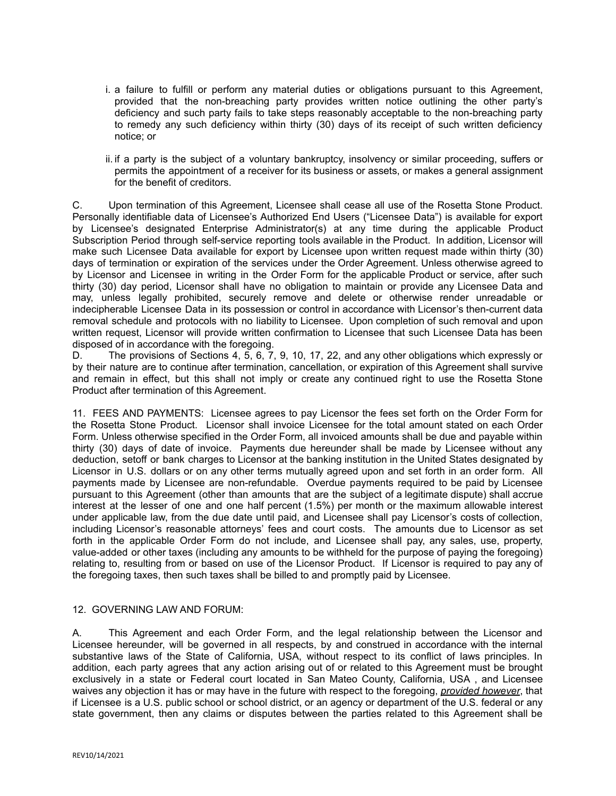- i. a failure to fulfill or perform any material duties or obligations pursuant to this Agreement, provided that the non-breaching party provides written notice outlining the other party's deficiency and such party fails to take steps reasonably acceptable to the non-breaching party to remedy any such deficiency within thirty (30) days of its receipt of such written deficiency notice; or
- ii. if a party is the subject of a voluntary bankruptcy, insolvency or similar proceeding, suffers or permits the appointment of a receiver for its business or assets, or makes a general assignment for the benefit of creditors.

C. Upon termination of this Agreement, Licensee shall cease all use of the Rosetta Stone Product. Personally identifiable data of Licensee's Authorized End Users ("Licensee Data") is available for export by Licensee's designated Enterprise Administrator(s) at any time during the applicable Product Subscription Period through self-service reporting tools available in the Product. In addition, Licensor will make such Licensee Data available for export by Licensee upon written request made within thirty (30) days of termination or expiration of the services under the Order Agreement. Unless otherwise agreed to by Licensor and Licensee in writing in the Order Form for the applicable Product or service, after such thirty (30) day period, Licensor shall have no obligation to maintain or provide any Licensee Data and may, unless legally prohibited, securely remove and delete or otherwise render unreadable or indecipherable Licensee Data in its possession or control in accordance with Licensor's then-current data removal schedule and protocols with no liability to Licensee. Upon completion of such removal and upon written request, Licensor will provide written confirmation to Licensee that such Licensee Data has been disposed of in accordance with the foregoing.

D. The provisions of Sections 4, 5, 6, 7, 9, 10, 17, 22, and any other obligations which expressly or by their nature are to continue after termination, cancellation, or expiration of this Agreement shall survive and remain in effect, but this shall not imply or create any continued right to use the Rosetta Stone Product after termination of this Agreement.

11. FEES AND PAYMENTS: Licensee agrees to pay Licensor the fees set forth on the Order Form for the Rosetta Stone Product. Licensor shall invoice Licensee for the total amount stated on each Order Form. Unless otherwise specified in the Order Form, all invoiced amounts shall be due and payable within thirty (30) days of date of invoice. Payments due hereunder shall be made by Licensee without any deduction, setoff or bank charges to Licensor at the banking institution in the United States designated by Licensor in U.S. dollars or on any other terms mutually agreed upon and set forth in an order form. All payments made by Licensee are non-refundable. Overdue payments required to be paid by Licensee pursuant to this Agreement (other than amounts that are the subject of a legitimate dispute) shall accrue interest at the lesser of one and one half percent (1.5%) per month or the maximum allowable interest under applicable law, from the due date until paid, and Licensee shall pay Licensor's costs of collection, including Licensor's reasonable attorneys' fees and court costs. The amounts due to Licensor as set forth in the applicable Order Form do not include, and Licensee shall pay, any sales, use, property, value-added or other taxes (including any amounts to be withheld for the purpose of paying the foregoing) relating to, resulting from or based on use of the Licensor Product. If Licensor is required to pay any of the foregoing taxes, then such taxes shall be billed to and promptly paid by Licensee.

# 12. GOVERNING LAW AND FORUM:

A. This Agreement and each Order Form, and the legal relationship between the Licensor and Licensee hereunder, will be governed in all respects, by and construed in accordance with the internal substantive laws of the State of California, USA, without respect to its conflict of laws principles. In addition, each party agrees that any action arising out of or related to this Agreement must be brought exclusively in a state or Federal court located in San Mateo County, California, USA , and Licensee waives any objection it has or may have in the future with respect to the foregoing, *provided however*, that if Licensee is a U.S. public school or school district, or an agency or department of the U.S. federal or any state government, then any claims or disputes between the parties related to this Agreement shall be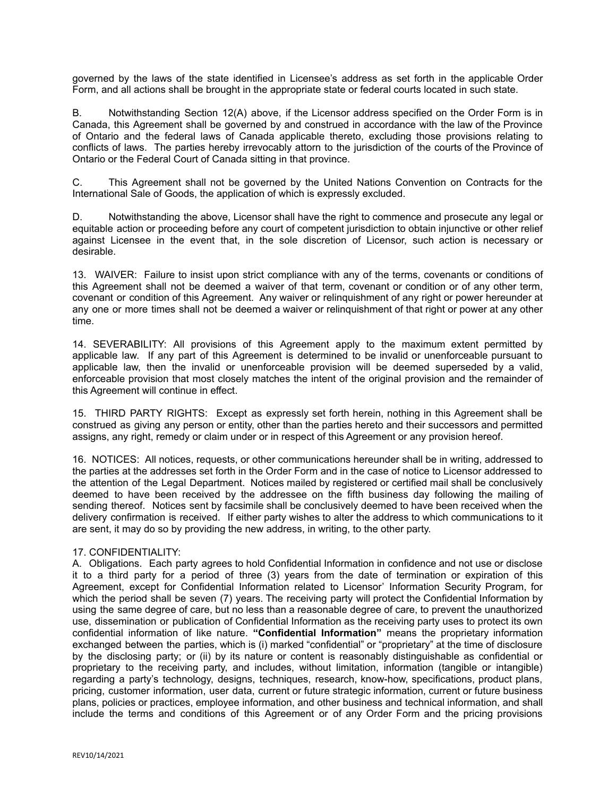governed by the laws of the state identified in Licensee's address as set forth in the applicable Order Form, and all actions shall be brought in the appropriate state or federal courts located in such state.

B. Notwithstanding Section 12(A) above, if the Licensor address specified on the Order Form is in Canada, this Agreement shall be governed by and construed in accordance with the law of the Province of Ontario and the federal laws of Canada applicable thereto, excluding those provisions relating to conflicts of laws. The parties hereby irrevocably attorn to the jurisdiction of the courts of the Province of Ontario or the Federal Court of Canada sitting in that province.

C. This Agreement shall not be governed by the United Nations Convention on Contracts for the International Sale of Goods, the application of which is expressly excluded.

D. Notwithstanding the above, Licensor shall have the right to commence and prosecute any legal or equitable action or proceeding before any court of competent jurisdiction to obtain injunctive or other relief against Licensee in the event that, in the sole discretion of Licensor, such action is necessary or desirable.

13. WAIVER: Failure to insist upon strict compliance with any of the terms, covenants or conditions of this Agreement shall not be deemed a waiver of that term, covenant or condition or of any other term, covenant or condition of this Agreement. Any waiver or relinquishment of any right or power hereunder at any one or more times shall not be deemed a waiver or relinquishment of that right or power at any other time.

14. SEVERABILITY: All provisions of this Agreement apply to the maximum extent permitted by applicable law. If any part of this Agreement is determined to be invalid or unenforceable pursuant to applicable law, then the invalid or unenforceable provision will be deemed superseded by a valid, enforceable provision that most closely matches the intent of the original provision and the remainder of this Agreement will continue in effect.

15. THIRD PARTY RIGHTS: Except as expressly set forth herein, nothing in this Agreement shall be construed as giving any person or entity, other than the parties hereto and their successors and permitted assigns, any right, remedy or claim under or in respect of this Agreement or any provision hereof.

16. NOTICES: All notices, requests, or other communications hereunder shall be in writing, addressed to the parties at the addresses set forth in the Order Form and in the case of notice to Licensor addressed to the attention of the Legal Department. Notices mailed by registered or certified mail shall be conclusively deemed to have been received by the addressee on the fifth business day following the mailing of sending thereof. Notices sent by facsimile shall be conclusively deemed to have been received when the delivery confirmation is received. If either party wishes to alter the address to which communications to it are sent, it may do so by providing the new address, in writing, to the other party.

# 17. CONFIDENTIALITY:

A. Obligations. Each party agrees to hold Confidential Information in confidence and not use or disclose it to a third party for a period of three (3) years from the date of termination or expiration of this Agreement, except for Confidential Information related to Licensor' Information Security Program, for which the period shall be seven (7) years. The receiving party will protect the Confidential Information by using the same degree of care, but no less than a reasonable degree of care, to prevent the unauthorized use, dissemination or publication of Confidential Information as the receiving party uses to protect its own confidential information of like nature. **"Confidential Information"** means the proprietary information exchanged between the parties, which is (i) marked "confidential" or "proprietary" at the time of disclosure by the disclosing party; or (ii) by its nature or content is reasonably distinguishable as confidential or proprietary to the receiving party, and includes, without limitation, information (tangible or intangible) regarding a party's technology, designs, techniques, research, know-how, specifications, product plans, pricing, customer information, user data, current or future strategic information, current or future business plans, policies or practices, employee information, and other business and technical information, and shall include the terms and conditions of this Agreement or of any Order Form and the pricing provisions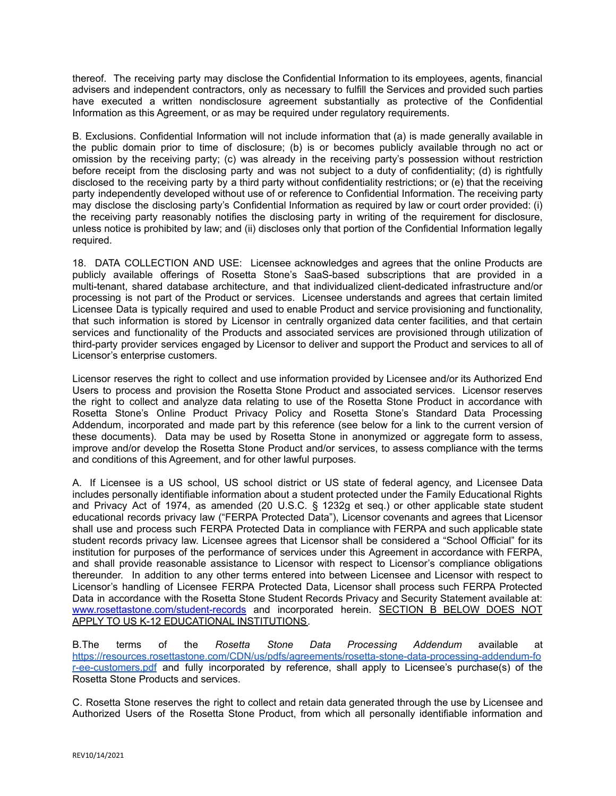thereof. The receiving party may disclose the Confidential Information to its employees, agents, financial advisers and independent contractors, only as necessary to fulfill the Services and provided such parties have executed a written nondisclosure agreement substantially as protective of the Confidential Information as this Agreement, or as may be required under regulatory requirements.

B. Exclusions. Confidential Information will not include information that (a) is made generally available in the public domain prior to time of disclosure; (b) is or becomes publicly available through no act or omission by the receiving party; (c) was already in the receiving party's possession without restriction before receipt from the disclosing party and was not subject to a duty of confidentiality; (d) is rightfully disclosed to the receiving party by a third party without confidentiality restrictions; or (e) that the receiving party independently developed without use of or reference to Confidential Information. The receiving party may disclose the disclosing party's Confidential Information as required by law or court order provided: (i) the receiving party reasonably notifies the disclosing party in writing of the requirement for disclosure, unless notice is prohibited by law; and (ii) discloses only that portion of the Confidential Information legally required.

18. DATA COLLECTION AND USE: Licensee acknowledges and agrees that the online Products are publicly available offerings of Rosetta Stone's SaaS-based subscriptions that are provided in a multi-tenant, shared database architecture, and that individualized client-dedicated infrastructure and/or processing is not part of the Product or services. Licensee understands and agrees that certain limited Licensee Data is typically required and used to enable Product and service provisioning and functionality, that such information is stored by Licensor in centrally organized data center facilities, and that certain services and functionality of the Products and associated services are provisioned through utilization of third-party provider services engaged by Licensor to deliver and support the Product and services to all of Licensor's enterprise customers.

Licensor reserves the right to collect and use information provided by Licensee and/or its Authorized End Users to process and provision the Rosetta Stone Product and associated services. Licensor reserves the right to collect and analyze data relating to use of the Rosetta Stone Product in accordance with Rosetta Stone's Online Product Privacy Policy and Rosetta Stone's Standard Data Processing Addendum, incorporated and made part by this reference (see below for a link to the current version of these documents). Data may be used by Rosetta Stone in anonymized or aggregate form to assess, improve and/or develop the Rosetta Stone Product and/or services, to assess compliance with the terms and conditions of this Agreement, and for other lawful purposes.

A. If Licensee is a US school, US school district or US state of federal agency, and Licensee Data includes personally identifiable information about a student protected under the Family Educational Rights and Privacy Act of 1974, as amended (20 U.S.C. § 1232g et seq.) or other applicable state student educational records privacy law ("FERPA Protected Data"), Licensor covenants and agrees that Licensor shall use and process such FERPA Protected Data in compliance with FERPA and such applicable state student records privacy law. Licensee agrees that Licensor shall be considered a "School Official" for its institution for purposes of the performance of services under this Agreement in accordance with FERPA, and shall provide reasonable assistance to Licensor with respect to Licensor's compliance obligations thereunder. In addition to any other terms entered into between Licensee and Licensor with respect to Licensor's handling of Licensee FERPA Protected Data, Licensor shall process such FERPA Protected Data in accordance with the Rosetta Stone Student Records Privacy and Security Statement available at: [www.rosettastone.com/student-records](http://www.rosettastone.com/student-records) and incorporated herein. SECTION B BELOW DOES NOT APPLY TO US K-12 EDUCATIONAL INSTITUTIONS.

B.The terms of the *Rosetta Stone Data Processing Addendum* available at [https://resources.rosettastone.com/CDN/us/pdfs/agreements/rosetta-stone-data-processing-addendum-fo](https://resources.rosettastone.com/CDN/us/pdfs/agreements/rosetta-stone-data-processing-addendum-for-ee-customers.pdf) [r-ee-customers.pdf](https://resources.rosettastone.com/CDN/us/pdfs/agreements/rosetta-stone-data-processing-addendum-for-ee-customers.pdf) and fully incorporated by reference, shall apply to Licensee's purchase(s) of the Rosetta Stone Products and services.

C. Rosetta Stone reserves the right to collect and retain data generated through the use by Licensee and Authorized Users of the Rosetta Stone Product, from which all personally identifiable information and